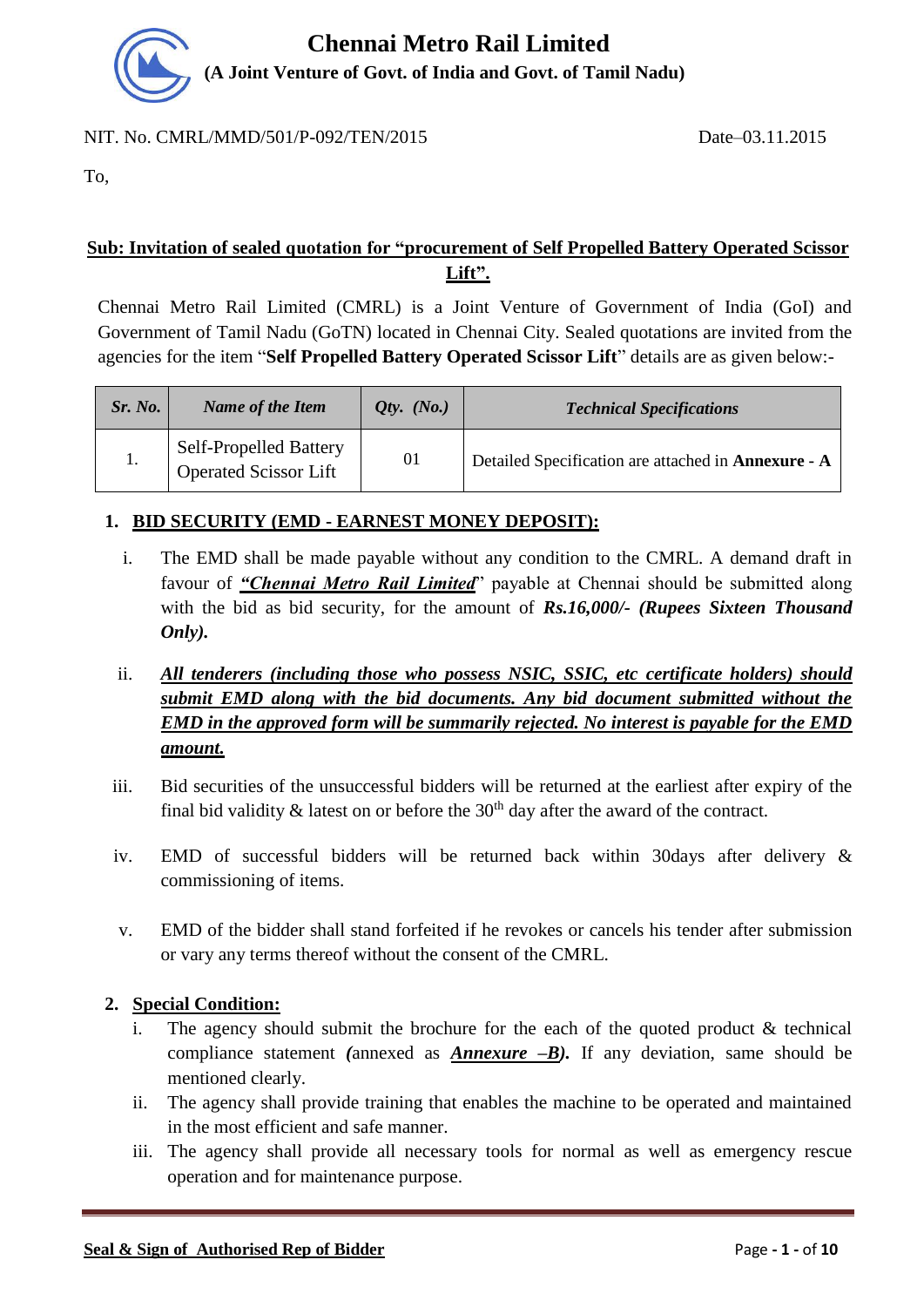

#### NIT. No. CMRL/MMD/501/P-092/TEN/2015 Date–03.11.2015

To,

## **Sub: Invitation of sealed quotation for "procurement of Self Propelled Battery Operated Scissor Lift".**

Chennai Metro Rail Limited (CMRL) is a Joint Venture of Government of India (GoI) and Government of Tamil Nadu (GoTN) located in Chennai City. Sealed quotations are invited from the agencies for the item "**Self Propelled Battery Operated Scissor Lift**" details are as given below:-

| Sr. No. | Name of the Item                                              | <i>Qty.</i> $(No.)$ | <b>Technical Specifications</b>                            |
|---------|---------------------------------------------------------------|---------------------|------------------------------------------------------------|
|         | <b>Self-Propelled Battery</b><br><b>Operated Scissor Lift</b> | 01                  | Detailed Specification are attached in <b>Annexure</b> - A |

## **1. BID SECURITY (EMD - EARNEST MONEY DEPOSIT):**

- i. The EMD shall be made payable without any condition to the CMRL. A demand draft in favour of *"Chennai Metro Rail Limited*" payable at Chennai should be submitted along with the bid as bid security, for the amount of *Rs.16,000/- (Rupees Sixteen Thousand Only).*
- ii. *All tenderers (including those who possess NSIC, SSIC, etc certificate holders) should submit EMD along with the bid documents. Any bid document submitted without the EMD in the approved form will be summarily rejected. No interest is payable for the EMD amount.*
- iii. Bid securities of the unsuccessful bidders will be returned at the earliest after expiry of the final bid validity  $\&$  latest on or before the 30<sup>th</sup> day after the award of the contract.
- iv. EMD of successful bidders will be returned back within 30days after delivery & commissioning of items.
- v. EMD of the bidder shall stand forfeited if he revokes or cancels his tender after submission or vary any terms thereof without the consent of the CMRL.

#### **2. Special Condition:**

- The agency should submit the brochure for the each of the quoted product  $\&$  technical compliance statement *(*annexed as *Annexure –B).* If any deviation, same should be mentioned clearly.
- ii. The agency shall provide training that enables the machine to be operated and maintained in the most efficient and safe manner.
- iii. The agency shall provide all necessary tools for normal as well as emergency rescue operation and for maintenance purpose.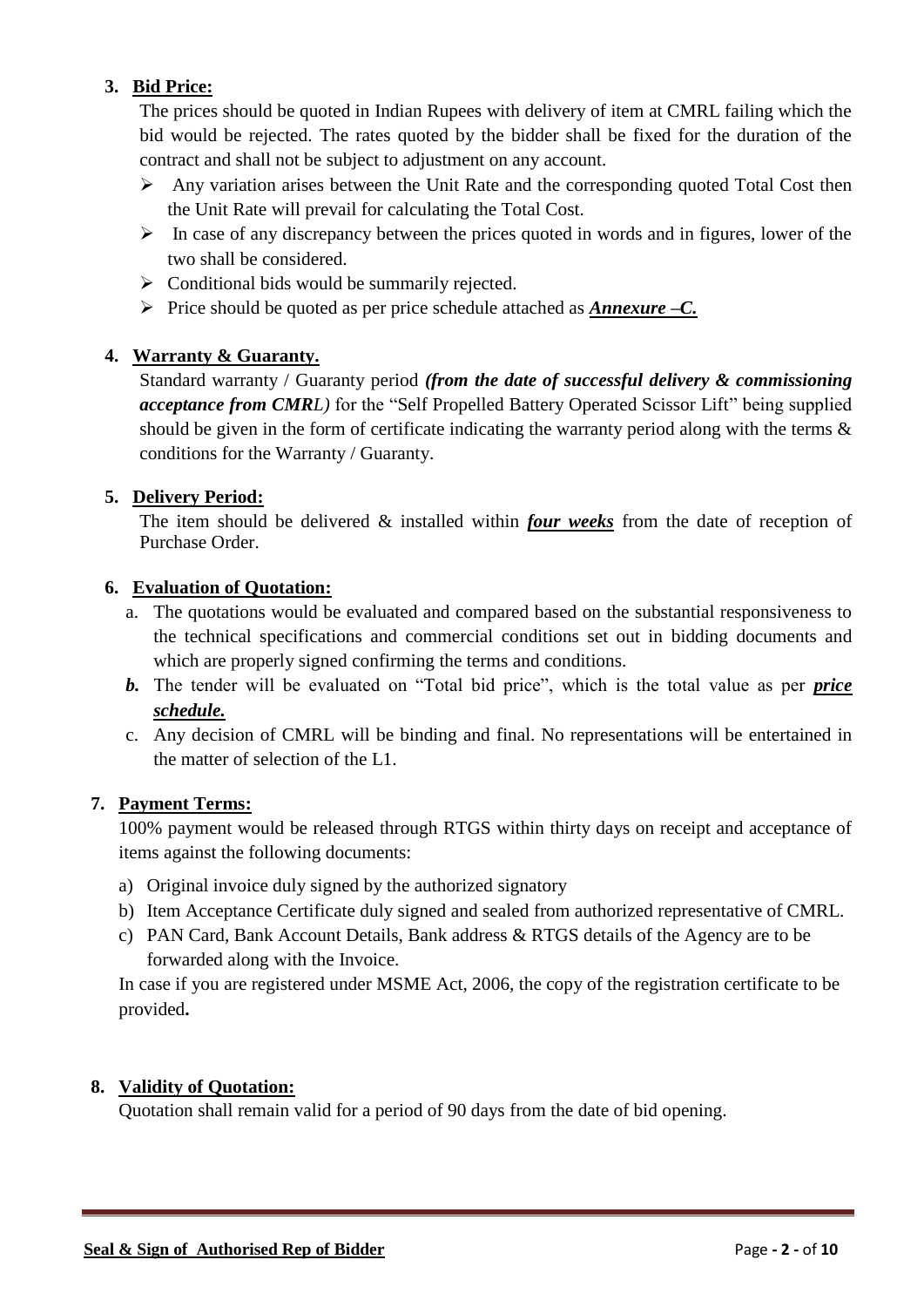## **3. Bid Price:**

The prices should be quoted in Indian Rupees with delivery of item at CMRL failing which the bid would be rejected. The rates quoted by the bidder shall be fixed for the duration of the contract and shall not be subject to adjustment on any account.

- $\triangleright$  Any variation arises between the Unit Rate and the corresponding quoted Total Cost then the Unit Rate will prevail for calculating the Total Cost.
- $\triangleright$  In case of any discrepancy between the prices quoted in words and in figures, lower of the two shall be considered.
- $\triangleright$  Conditional bids would be summarily rejected.
- Price should be quoted as per price schedule attached as *Annexure –C.*

## **4. Warranty & Guaranty.**

Standard warranty / Guaranty period *(from the date of successful delivery & commissioning acceptance from CMRL)* for the "Self Propelled Battery Operated Scissor Lift" being supplied should be given in the form of certificate indicating the warranty period along with the terms & conditions for the Warranty / Guaranty.

#### **5. Delivery Period:**

The item should be delivered & installed within *four weeks* from the date of reception of Purchase Order.

#### **6. Evaluation of Quotation:**

- a. The quotations would be evaluated and compared based on the substantial responsiveness to the technical specifications and commercial conditions set out in bidding documents and which are properly signed confirming the terms and conditions.
- *b.* The tender will be evaluated on "Total bid price", which is the total value as per *price schedule.*
- c. Any decision of CMRL will be binding and final. No representations will be entertained in the matter of selection of the L1.

#### **7. Payment Terms:**

100% payment would be released through RTGS within thirty days on receipt and acceptance of items against the following documents:

- a) Original invoice duly signed by the authorized signatory
- b) Item Acceptance Certificate duly signed and sealed from authorized representative of CMRL.
- c) PAN Card, Bank Account Details, Bank address & RTGS details of the Agency are to be forwarded along with the Invoice.

In case if you are registered under MSME Act, 2006, the copy of the registration certificate to be provided**.**

#### **8. Validity of Quotation:**

Quotation shall remain valid for a period of 90 days from the date of bid opening.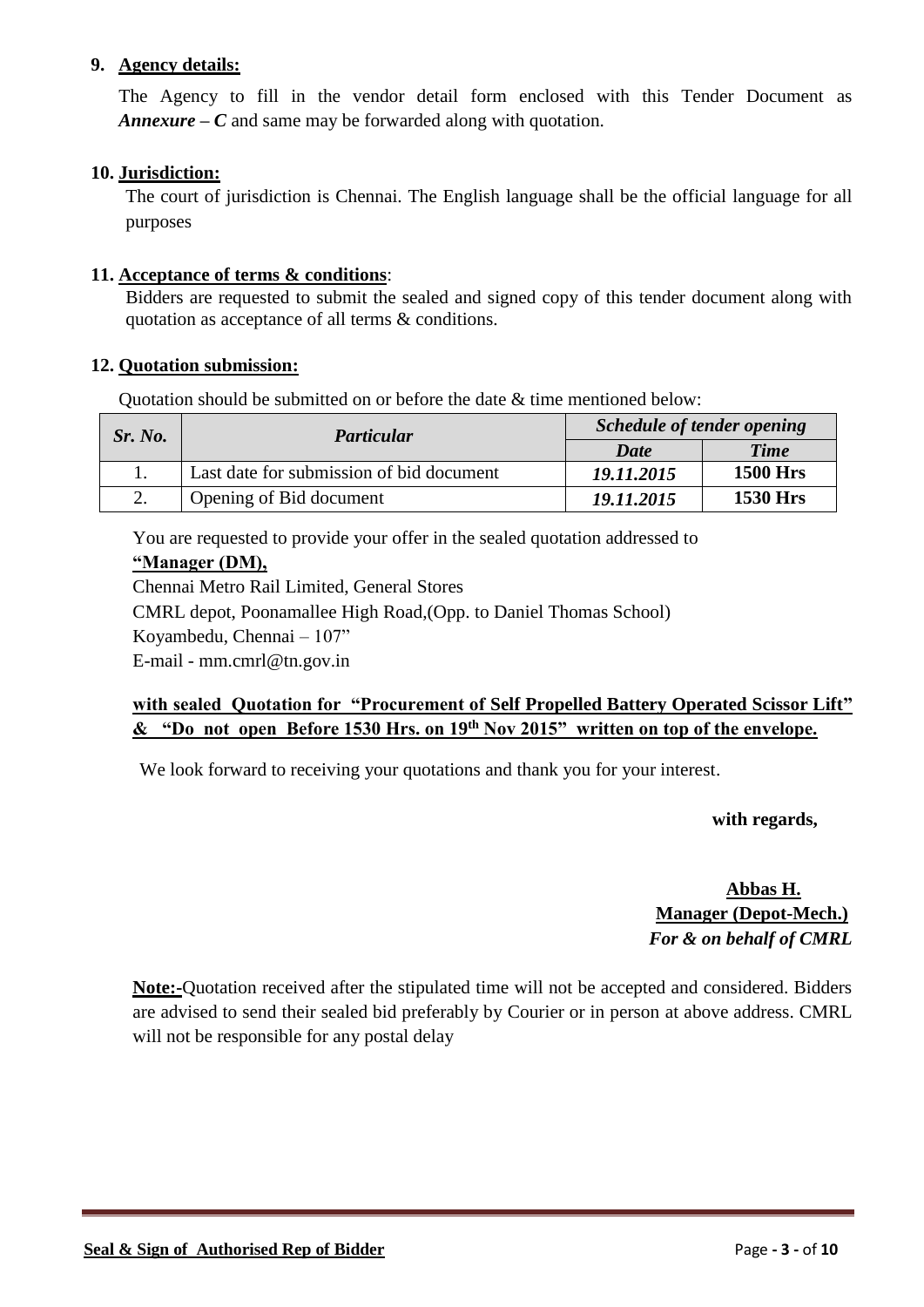#### **9. Agency details:**

The Agency to fill in the vendor detail form enclosed with this Tender Document as *Annexure – C* and same may be forwarded along with quotation.

#### **10. Jurisdiction:**

The court of jurisdiction is Chennai. The English language shall be the official language for all purposes

#### **11. Acceptance of terms & conditions**:

Bidders are requested to submit the sealed and signed copy of this tender document along with quotation as acceptance of all terms & conditions.

#### **12. Quotation submission:**

Quotation should be submitted on or before the date & time mentioned below:

| Sr. No. | Particular                               | <b>Schedule of tender opening</b> |                 |  |
|---------|------------------------------------------|-----------------------------------|-----------------|--|
|         |                                          | Date                              | <b>Time</b>     |  |
|         | Last date for submission of bid document | 19.11.2015                        | <b>1500 Hrs</b> |  |
|         | Opening of Bid document                  | 19.11.2015                        | <b>1530 Hrs</b> |  |

You are requested to provide your offer in the sealed quotation addressed to

#### **"Manager (DM),**

Chennai Metro Rail Limited, General Stores CMRL depot, Poonamallee High Road,(Opp. to Daniel Thomas School)

Koyambedu, Chennai – 107"

E-mail - mm.cmrl@tn.gov.in

## **with sealed Quotation for "Procurement of Self Propelled Battery Operated Scissor Lift" & "Do not open Before 1530 Hrs. on 19 th Nov 2015" written on top of the envelope.**

We look forward to receiving your quotations and thank you for your interest.

 **with regards,**

 **Abbas H. Manager (Depot-Mech.)** *For & on behalf of CMRL*

**Note:-**Quotation received after the stipulated time will not be accepted and considered. Bidders are advised to send their sealed bid preferably by Courier or in person at above address. CMRL will not be responsible for any postal delay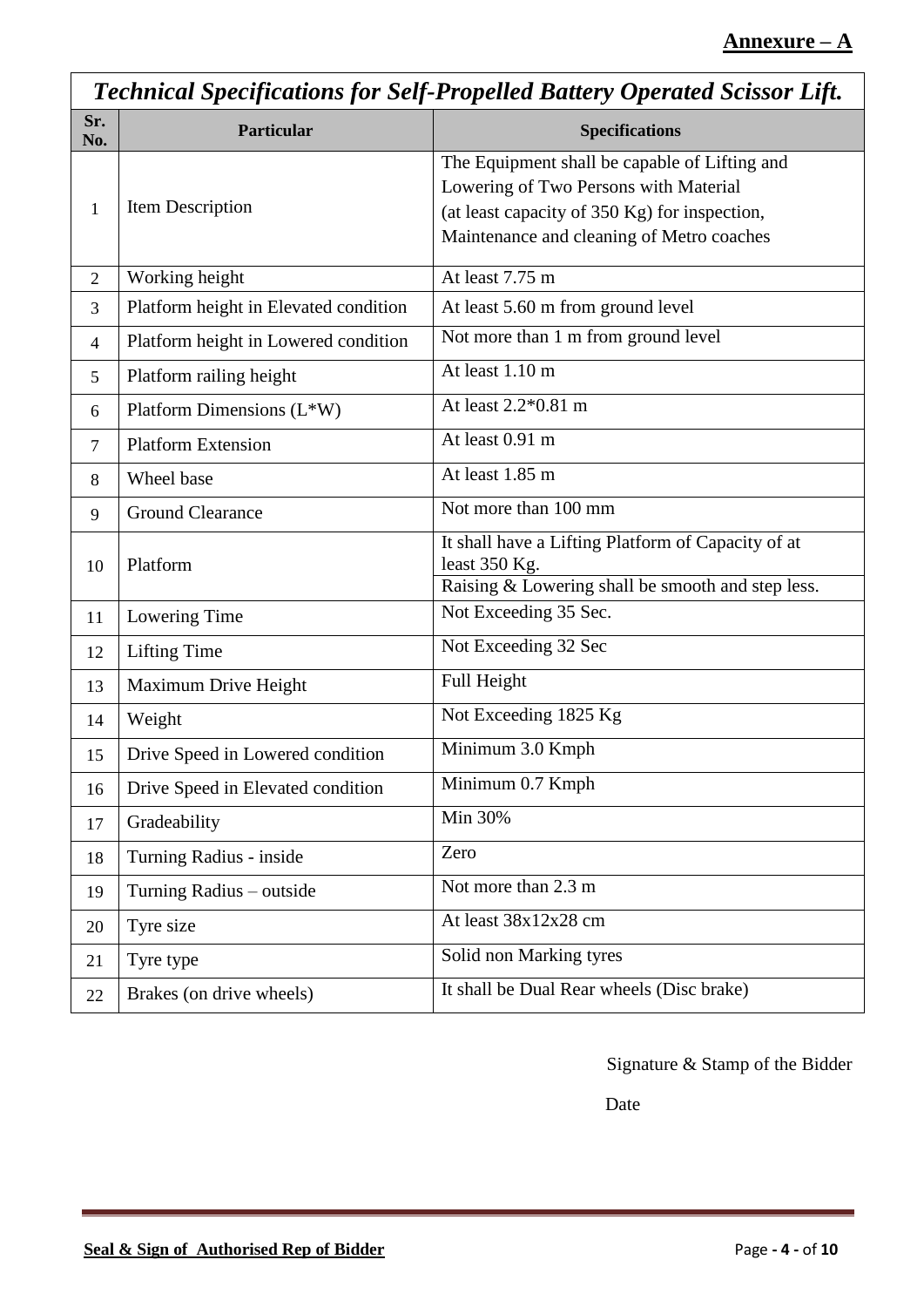|                | <b>Technical Specifications for Self-Propelled Battery Operated Scissor Lift.</b> |                                                                                                                                                                                      |  |  |  |
|----------------|-----------------------------------------------------------------------------------|--------------------------------------------------------------------------------------------------------------------------------------------------------------------------------------|--|--|--|
| Sr.<br>No.     | Particular                                                                        | <b>Specifications</b>                                                                                                                                                                |  |  |  |
| 1              | Item Description                                                                  | The Equipment shall be capable of Lifting and<br>Lowering of Two Persons with Material<br>(at least capacity of 350 Kg) for inspection,<br>Maintenance and cleaning of Metro coaches |  |  |  |
| $\overline{2}$ | Working height                                                                    | At least 7.75 m                                                                                                                                                                      |  |  |  |
| 3              | Platform height in Elevated condition                                             | At least 5.60 m from ground level                                                                                                                                                    |  |  |  |
| $\overline{4}$ | Platform height in Lowered condition                                              | Not more than 1 m from ground level                                                                                                                                                  |  |  |  |
| 5              | Platform railing height                                                           | At least 1.10 m                                                                                                                                                                      |  |  |  |
| 6              | Platform Dimensions (L*W)                                                         | At least 2.2*0.81 m                                                                                                                                                                  |  |  |  |
| $\overline{7}$ | <b>Platform Extension</b>                                                         | At least 0.91 m                                                                                                                                                                      |  |  |  |
| 8              | Wheel base                                                                        | At least 1.85 m                                                                                                                                                                      |  |  |  |
| 9              | <b>Ground Clearance</b>                                                           | Not more than 100 mm                                                                                                                                                                 |  |  |  |
| 10             | Platform                                                                          | It shall have a Lifting Platform of Capacity of at<br>least 350 Kg.<br>Raising & Lowering shall be smooth and step less.                                                             |  |  |  |
|                |                                                                                   | Not Exceeding 35 Sec.                                                                                                                                                                |  |  |  |
| 11             | Lowering Time                                                                     |                                                                                                                                                                                      |  |  |  |
| 12             | <b>Lifting Time</b>                                                               | Not Exceeding 32 Sec                                                                                                                                                                 |  |  |  |
| 13             | Maximum Drive Height                                                              | Full Height                                                                                                                                                                          |  |  |  |
| 14             | Weight                                                                            | Not Exceeding 1825 Kg                                                                                                                                                                |  |  |  |
| 15             | Drive Speed in Lowered condition                                                  | Minimum 3.0 Kmph                                                                                                                                                                     |  |  |  |
| 16             | Drive Speed in Elevated condition                                                 | Minimum 0.7 Kmph                                                                                                                                                                     |  |  |  |
| 17             | Gradeability                                                                      | Min 30%                                                                                                                                                                              |  |  |  |
| 18             | Turning Radius - inside                                                           | Zero                                                                                                                                                                                 |  |  |  |
| 19             | Turning Radius – outside                                                          | Not more than 2.3 m                                                                                                                                                                  |  |  |  |
| 20             | Tyre size                                                                         | At least 38x12x28 cm                                                                                                                                                                 |  |  |  |
| 21             | Tyre type                                                                         | Solid non Marking tyres                                                                                                                                                              |  |  |  |
| 22             | Brakes (on drive wheels)                                                          | It shall be Dual Rear wheels (Disc brake)                                                                                                                                            |  |  |  |

**Date Date** 

 $\mathbf{r}$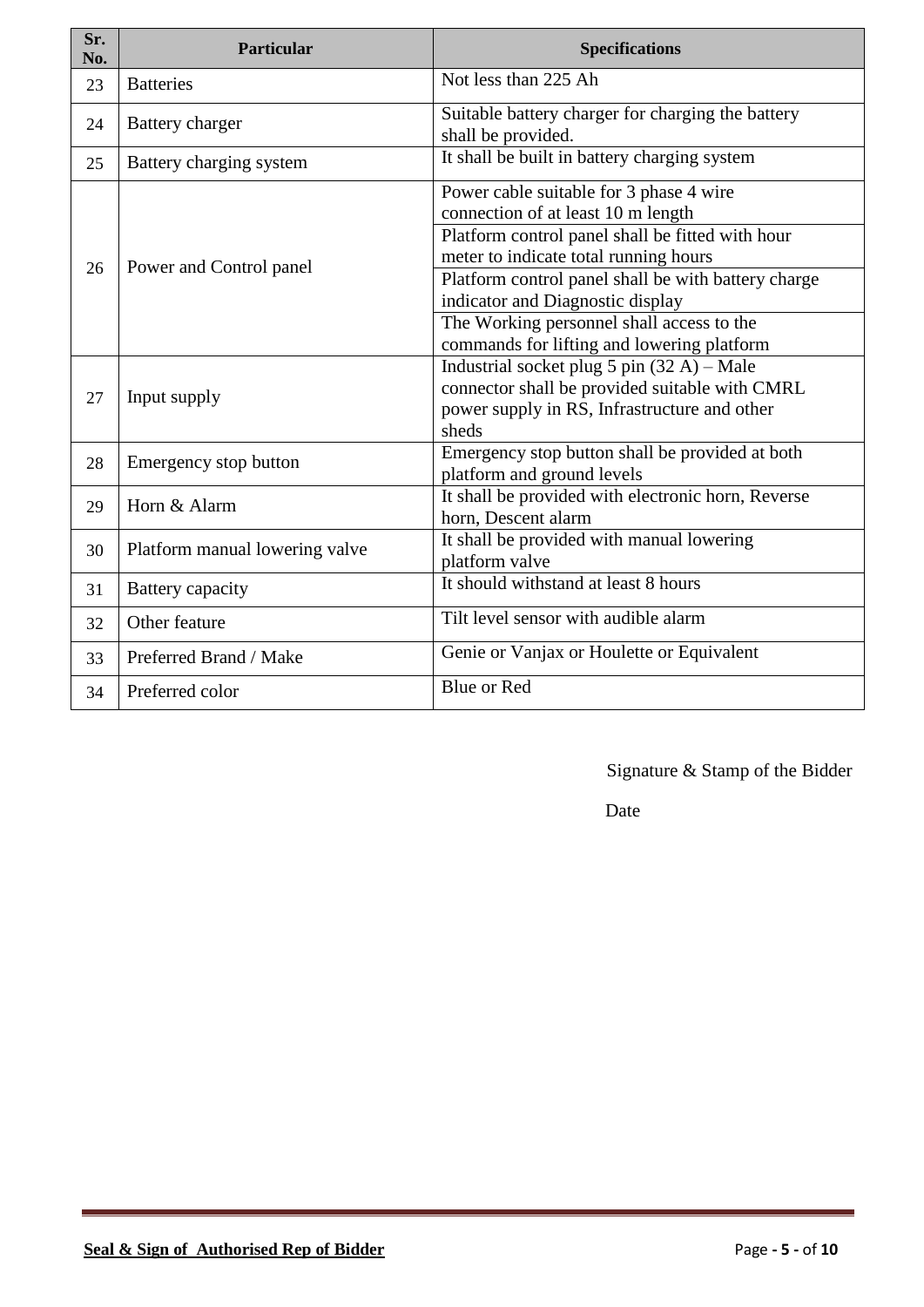| Sr.<br>No. | <b>Particular</b>              | <b>Specifications</b>                                                                                                                                                           |  |  |
|------------|--------------------------------|---------------------------------------------------------------------------------------------------------------------------------------------------------------------------------|--|--|
| 23         | <b>Batteries</b>               | Not less than 225 Ah                                                                                                                                                            |  |  |
| 24         | Battery charger                | Suitable battery charger for charging the battery<br>shall be provided.                                                                                                         |  |  |
| 25         | Battery charging system        | It shall be built in battery charging system                                                                                                                                    |  |  |
|            |                                | Power cable suitable for 3 phase 4 wire<br>connection of at least 10 m length                                                                                                   |  |  |
|            |                                | Platform control panel shall be fitted with hour<br>meter to indicate total running hours                                                                                       |  |  |
| 26         | Power and Control panel        | Platform control panel shall be with battery charge<br>indicator and Diagnostic display                                                                                         |  |  |
|            |                                | The Working personnel shall access to the<br>commands for lifting and lowering platform                                                                                         |  |  |
| 27         | Input supply                   | Industrial socket plug $5 \text{ pin } (32 \text{ A}) - \text{Male}$<br>connector shall be provided suitable with CMRL<br>power supply in RS, Infrastructure and other<br>sheds |  |  |
| 28         | Emergency stop button          | Emergency stop button shall be provided at both<br>platform and ground levels                                                                                                   |  |  |
| 29         | Horn & Alarm                   | It shall be provided with electronic horn, Reverse<br>horn, Descent alarm                                                                                                       |  |  |
| 30         | Platform manual lowering valve | It shall be provided with manual lowering<br>platform valve                                                                                                                     |  |  |
| 31         | Battery capacity               | It should withstand at least 8 hours                                                                                                                                            |  |  |
| 32         | Other feature                  | Tilt level sensor with audible alarm                                                                                                                                            |  |  |
| 33         | Preferred Brand / Make         | Genie or Vanjax or Houlette or Equivalent                                                                                                                                       |  |  |
| 34         | Preferred color                | Blue or Red                                                                                                                                                                     |  |  |

**Date**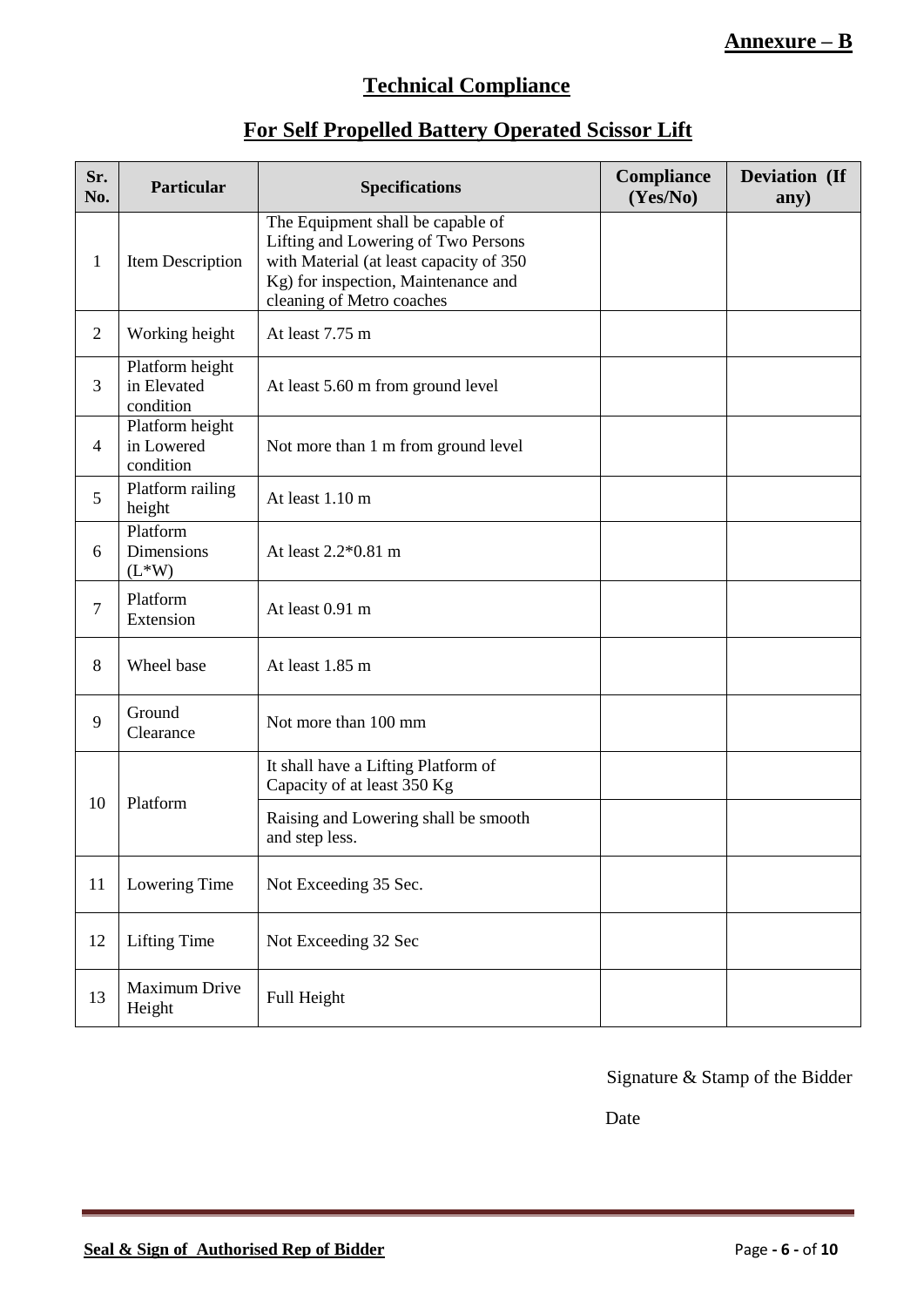## **Annexure – B**

## **Technical Compliance**

## **For Self Propelled Battery Operated Scissor Lift**

| Sr.<br>No.     | Particular                                  | <b>Specifications</b>                                                                                                                                                                   | Compliance<br>(Yes/No) | Deviation (If<br>any) |
|----------------|---------------------------------------------|-----------------------------------------------------------------------------------------------------------------------------------------------------------------------------------------|------------------------|-----------------------|
| $\mathbf{1}$   | Item Description                            | The Equipment shall be capable of<br>Lifting and Lowering of Two Persons<br>with Material (at least capacity of 350<br>Kg) for inspection, Maintenance and<br>cleaning of Metro coaches |                        |                       |
| $\overline{2}$ | Working height                              | At least 7.75 m                                                                                                                                                                         |                        |                       |
| 3              | Platform height<br>in Elevated<br>condition | At least 5.60 m from ground level                                                                                                                                                       |                        |                       |
| 4              | Platform height<br>in Lowered<br>condition  | Not more than 1 m from ground level                                                                                                                                                     |                        |                       |
| 5              | Platform railing<br>height                  | At least 1.10 m                                                                                                                                                                         |                        |                       |
| 6              | Platform<br>Dimensions<br>$(L^*W)$          | At least 2.2*0.81 m                                                                                                                                                                     |                        |                       |
| $\tau$         | Platform<br>Extension                       | At least 0.91 m                                                                                                                                                                         |                        |                       |
| 8              | Wheel base                                  | At least 1.85 m                                                                                                                                                                         |                        |                       |
| 9              | Ground<br>Clearance                         | Not more than 100 mm                                                                                                                                                                    |                        |                       |
|                | Platform                                    | It shall have a Lifting Platform of<br>Capacity of at least 350 Kg                                                                                                                      |                        |                       |
| 10             |                                             | Raising and Lowering shall be smooth<br>and step less.                                                                                                                                  |                        |                       |
| 11             | Lowering Time                               | Not Exceeding 35 Sec.                                                                                                                                                                   |                        |                       |
| 12             | <b>Lifting Time</b>                         | Not Exceeding 32 Sec                                                                                                                                                                    |                        |                       |
| 13             | Maximum Drive<br>Height                     | Full Height                                                                                                                                                                             |                        |                       |

Signature & Stamp of the Bidder

**Date**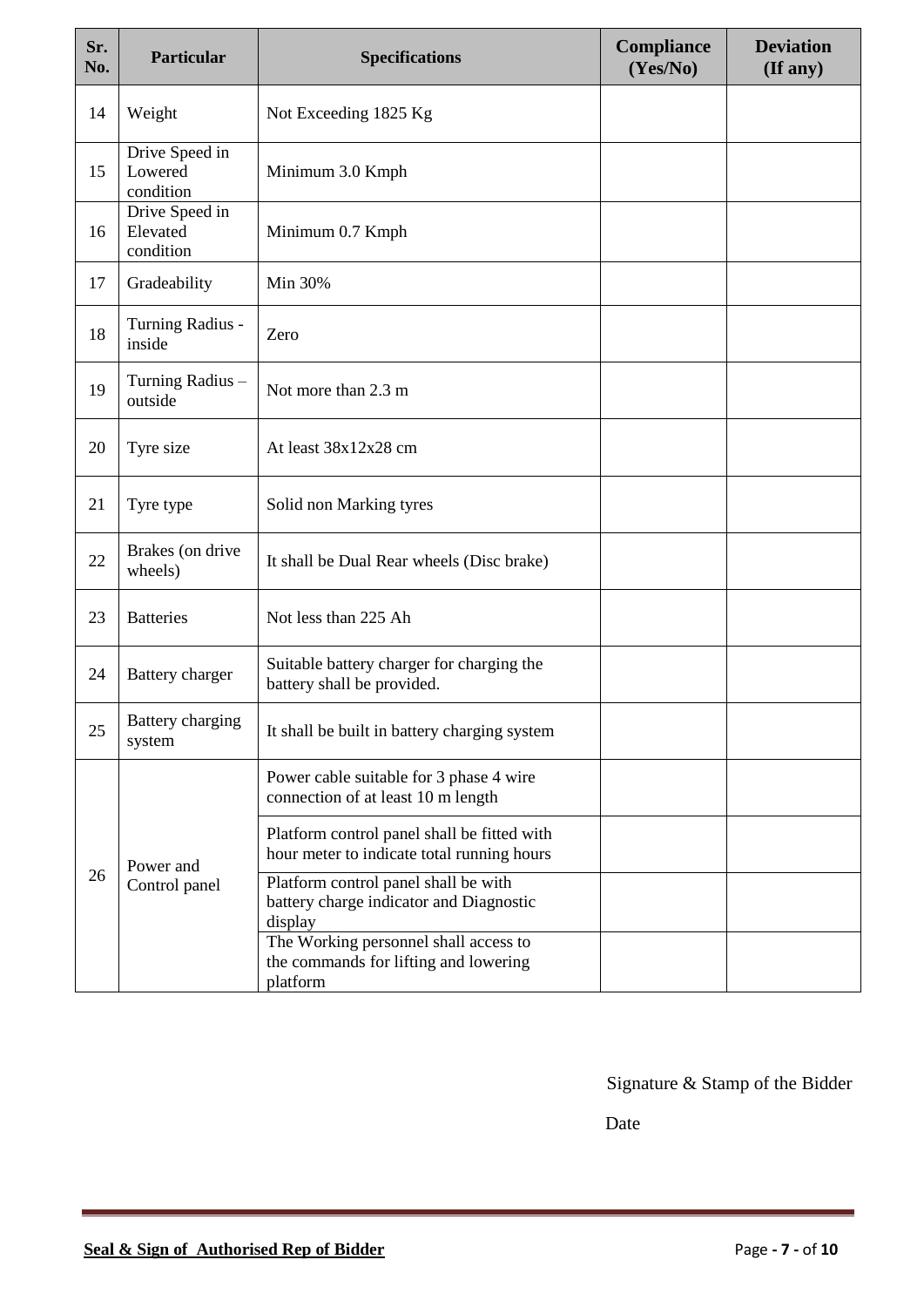| Sr.<br>No. | <b>Particular</b>                       | <b>Specifications</b>                                                                      | Compliance<br>(Yes/No) | <b>Deviation</b><br>(If any) |
|------------|-----------------------------------------|--------------------------------------------------------------------------------------------|------------------------|------------------------------|
| 14         | Weight                                  | Not Exceeding 1825 Kg                                                                      |                        |                              |
| 15         | Drive Speed in<br>Lowered<br>condition  | Minimum 3.0 Kmph                                                                           |                        |                              |
| 16         | Drive Speed in<br>Elevated<br>condition | Minimum 0.7 Kmph                                                                           |                        |                              |
| 17         | Gradeability                            | Min 30%                                                                                    |                        |                              |
| 18         | Turning Radius -<br>inside              | Zero                                                                                       |                        |                              |
| 19         | Turning Radius -<br>outside             | Not more than 2.3 m                                                                        |                        |                              |
| 20         | Tyre size                               | At least 38x12x28 cm                                                                       |                        |                              |
| 21         | Tyre type                               | Solid non Marking tyres                                                                    |                        |                              |
| 22         | Brakes (on drive<br>wheels)             | It shall be Dual Rear wheels (Disc brake)                                                  |                        |                              |
| 23         | <b>Batteries</b>                        | Not less than 225 Ah                                                                       |                        |                              |
| 24         | Battery charger                         | Suitable battery charger for charging the<br>battery shall be provided.                    |                        |                              |
| 25         | Battery charging<br>system              | It shall be built in battery charging system                                               |                        |                              |
|            | Power and<br>Control panel              | Power cable suitable for 3 phase 4 wire<br>connection of at least 10 m length              |                        |                              |
|            |                                         | Platform control panel shall be fitted with<br>hour meter to indicate total running hours  |                        |                              |
| 26         |                                         | Platform control panel shall be with<br>battery charge indicator and Diagnostic<br>display |                        |                              |
|            |                                         | The Working personnel shall access to<br>the commands for lifting and lowering<br>platform |                        |                              |

**Date Date**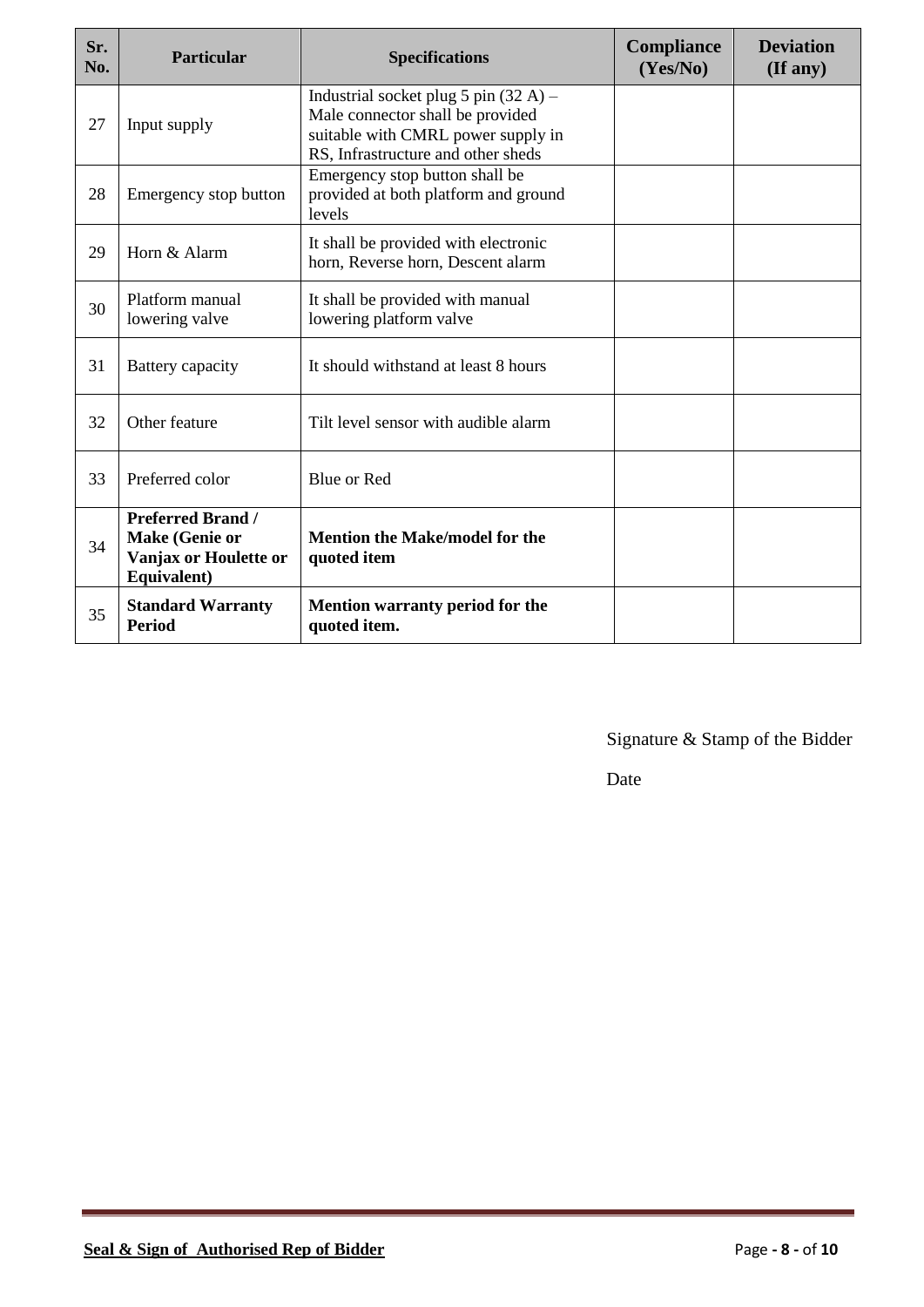| Sr.<br>No. | <b>Particular</b>                                                                  | <b>Specifications</b>                                                                                                                                   | <b>Compliance</b><br>(Yes/No) | <b>Deviation</b><br>$($ If any $)$ |
|------------|------------------------------------------------------------------------------------|---------------------------------------------------------------------------------------------------------------------------------------------------------|-------------------------------|------------------------------------|
| 27         | Input supply                                                                       | Industrial socket plug 5 pin $(32 A)$ –<br>Male connector shall be provided<br>suitable with CMRL power supply in<br>RS, Infrastructure and other sheds |                               |                                    |
| 28         | Emergency stop button                                                              | Emergency stop button shall be<br>provided at both platform and ground<br>levels                                                                        |                               |                                    |
| 29         | Horn & Alarm                                                                       | It shall be provided with electronic<br>horn, Reverse horn, Descent alarm                                                                               |                               |                                    |
| 30         | Platform manual<br>lowering valve                                                  | It shall be provided with manual<br>lowering platform valve                                                                                             |                               |                                    |
| 31         | Battery capacity                                                                   | It should withstand at least 8 hours                                                                                                                    |                               |                                    |
| 32         | Other feature                                                                      | Tilt level sensor with audible alarm                                                                                                                    |                               |                                    |
| 33         | Preferred color                                                                    | <b>Blue or Red</b>                                                                                                                                      |                               |                                    |
| 34         | <b>Preferred Brand /</b><br>Make (Genie or<br>Vanjax or Houlette or<br>Equivalent) | <b>Mention the Make/model for the</b><br>quoted item                                                                                                    |                               |                                    |
| 35         | <b>Standard Warranty</b><br><b>Period</b>                                          | Mention warranty period for the<br>quoted item.                                                                                                         |                               |                                    |

Date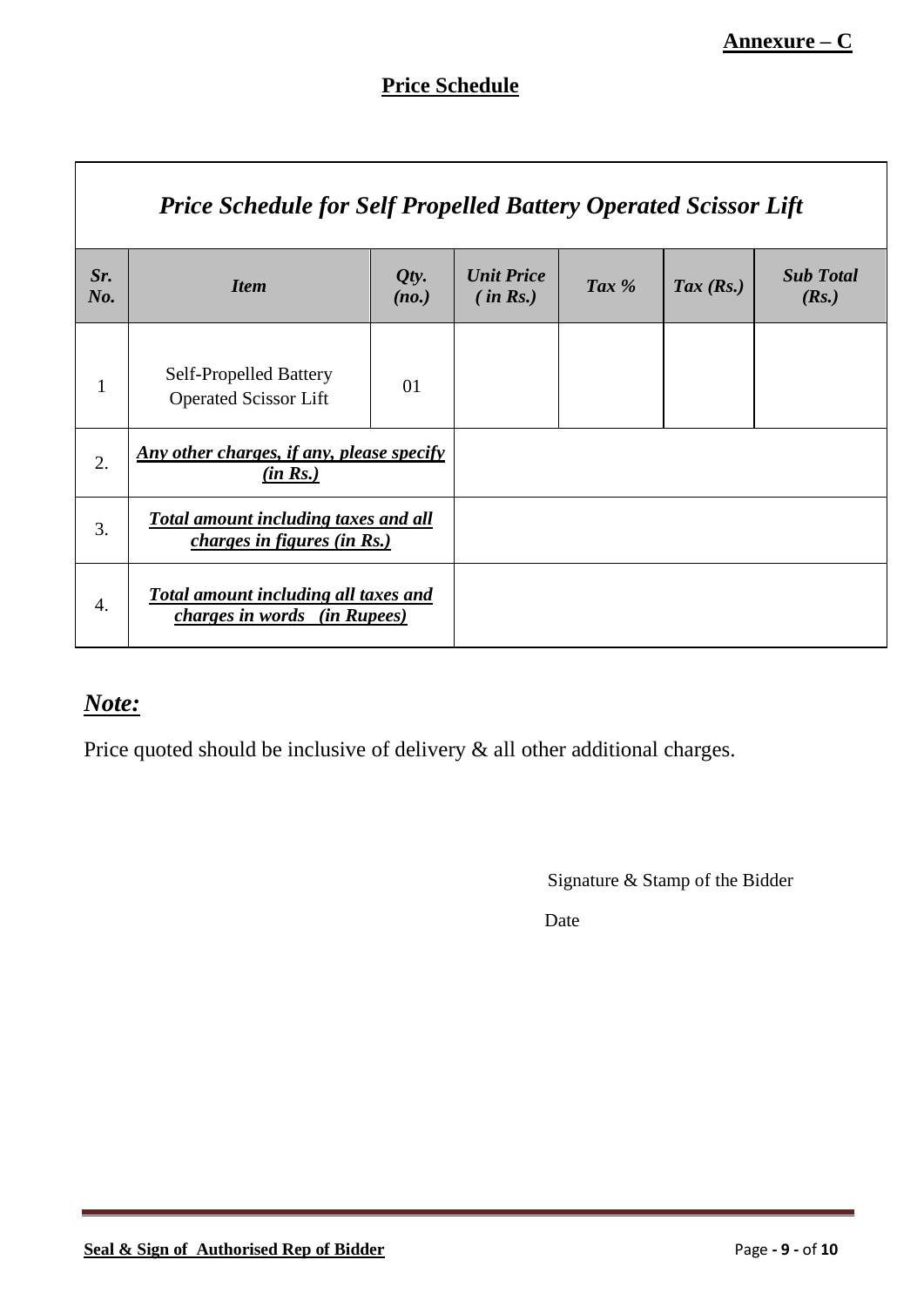┑

# **Price Schedule**

|                  | <b>Price Schedule for Self Propelled Battery Operated Scissor Lift</b>             |               |                               |         |                      |                           |  |
|------------------|------------------------------------------------------------------------------------|---------------|-------------------------------|---------|----------------------|---------------------------|--|
| Sr.<br>$N0$ .    | <b>Item</b>                                                                        | Qty.<br>(no.) | <b>Unit Price</b><br>(in Rs.) | Tax $%$ | $\textit{Tax (Rs.)}$ | <b>Sub Total</b><br>(Rs.) |  |
| $\mathbf{1}$     | <b>Self-Propelled Battery</b><br><b>Operated Scissor Lift</b>                      | 01            |                               |         |                      |                           |  |
| 2.               | <u>Any other charges, if any, please specify</u><br>(in Rs.)                       |               |                               |         |                      |                           |  |
| 3.               | <b>Total amount including taxes and all</b><br><i>charges in figures (in Rs.)</i>  |               |                               |         |                      |                           |  |
| $\overline{4}$ . | <b>Total amount including all taxes and</b><br><i>charges in words (in Rupees)</i> |               |                               |         |                      |                           |  |

# *Note:*

 $\mathsf{r}$ 

Price quoted should be inclusive of delivery & all other additional charges.

Signature & Stamp of the Bidder

**Date Date**